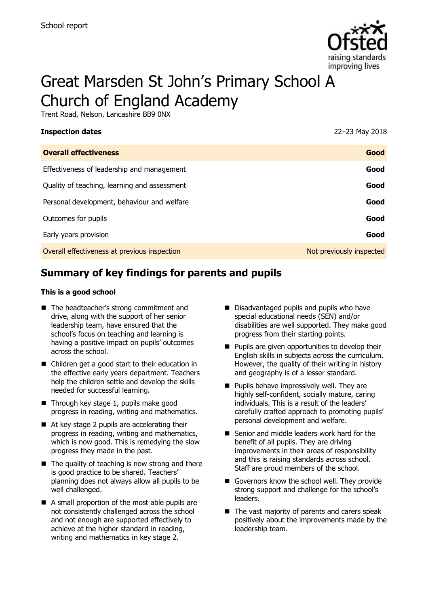

# Great Marsden St John's Primary School A Church of England Academy

Trent Road, Nelson, Lancashire BB9 0NX

| <b>Inspection dates</b>                      | 22-23 May 2018           |
|----------------------------------------------|--------------------------|
| <b>Overall effectiveness</b>                 | Good                     |
| Effectiveness of leadership and management   | Good                     |
| Quality of teaching, learning and assessment | Good                     |
| Personal development, behaviour and welfare  | Good                     |
| Outcomes for pupils                          | Good                     |
| Early years provision                        | Good                     |
| Overall effectiveness at previous inspection | Not previously inspected |

## **Summary of key findings for parents and pupils**

#### **This is a good school**

- The headteacher's strong commitment and drive, along with the support of her senior leadership team, have ensured that the school's focus on teaching and learning is having a positive impact on pupils' outcomes across the school.
- Children get a good start to their education in the effective early years department. Teachers help the children settle and develop the skills needed for successful learning.
- $\blacksquare$  Through key stage 1, pupils make good progress in reading, writing and mathematics.
- At key stage 2 pupils are accelerating their progress in reading, writing and mathematics, which is now good. This is remedying the slow progress they made in the past.
- $\blacksquare$  The quality of teaching is now strong and there is good practice to be shared. Teachers' planning does not always allow all pupils to be well challenged.
- A small proportion of the most able pupils are not consistently challenged across the school and not enough are supported effectively to achieve at the higher standard in reading, writing and mathematics in key stage 2.
- Disadvantaged pupils and pupils who have special educational needs (SEN) and/or disabilities are well supported. They make good progress from their starting points.
- **Pupils are given opportunities to develop their** English skills in subjects across the curriculum. However, the quality of their writing in history and geography is of a lesser standard.
- **Pupils behave impressively well. They are** highly self-confident, socially mature, caring individuals. This is a result of the leaders' carefully crafted approach to promoting pupils' personal development and welfare.
- Senior and middle leaders work hard for the benefit of all pupils. They are driving improvements in their areas of responsibility and this is raising standards across school. Staff are proud members of the school.
- Governors know the school well. They provide strong support and challenge for the school's leaders.
- The vast majority of parents and carers speak positively about the improvements made by the leadership team.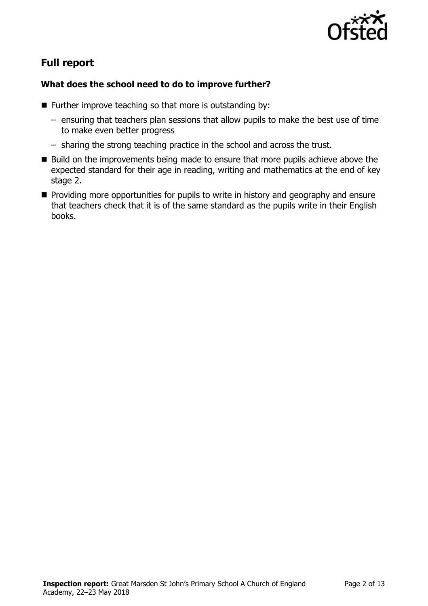

# **Full report**

## **What does the school need to do to improve further?**

- **Further improve teaching so that more is outstanding by:** 
	- ensuring that teachers plan sessions that allow pupils to make the best use of time to make even better progress
	- sharing the strong teaching practice in the school and across the trust.
- $\blacksquare$  Build on the improvements being made to ensure that more pupils achieve above the expected standard for their age in reading, writing and mathematics at the end of key stage 2.
- **Providing more opportunities for pupils to write in history and geography and ensure** that teachers check that it is of the same standard as the pupils write in their English books.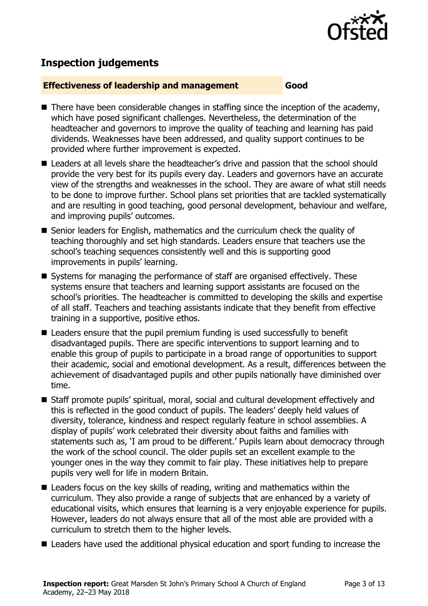

# **Inspection judgements**

#### **Effectiveness of leadership and management Good**

- $\blacksquare$  There have been considerable changes in staffing since the inception of the academy, which have posed significant challenges. Nevertheless, the determination of the headteacher and governors to improve the quality of teaching and learning has paid dividends. Weaknesses have been addressed, and quality support continues to be provided where further improvement is expected.
- Leaders at all levels share the headteacher's drive and passion that the school should provide the very best for its pupils every day. Leaders and governors have an accurate view of the strengths and weaknesses in the school. They are aware of what still needs to be done to improve further. School plans set priorities that are tackled systematically and are resulting in good teaching, good personal development, behaviour and welfare, and improving pupils' outcomes.
- Senior leaders for English, mathematics and the curriculum check the quality of teaching thoroughly and set high standards. Leaders ensure that teachers use the school's teaching sequences consistently well and this is supporting good improvements in pupils' learning.
- Systems for managing the performance of staff are organised effectively. These systems ensure that teachers and learning support assistants are focused on the school's priorities. The headteacher is committed to developing the skills and expertise of all staff. Teachers and teaching assistants indicate that they benefit from effective training in a supportive, positive ethos.
- Leaders ensure that the pupil premium funding is used successfully to benefit disadvantaged pupils. There are specific interventions to support learning and to enable this group of pupils to participate in a broad range of opportunities to support their academic, social and emotional development. As a result, differences between the achievement of disadvantaged pupils and other pupils nationally have diminished over time.
- Staff promote pupils' spiritual, moral, social and cultural development effectively and this is reflected in the good conduct of pupils. The leaders' deeply held values of diversity, tolerance, kindness and respect regularly feature in school assemblies. A display of pupils' work celebrated their diversity about faiths and families with statements such as, 'I am proud to be different.' Pupils learn about democracy through the work of the school council. The older pupils set an excellent example to the younger ones in the way they commit to fair play. These initiatives help to prepare pupils very well for life in modern Britain.
- Leaders focus on the key skills of reading, writing and mathematics within the curriculum. They also provide a range of subjects that are enhanced by a variety of educational visits, which ensures that learning is a very enjoyable experience for pupils. However, leaders do not always ensure that all of the most able are provided with a curriculum to stretch them to the higher levels.
- Leaders have used the additional physical education and sport funding to increase the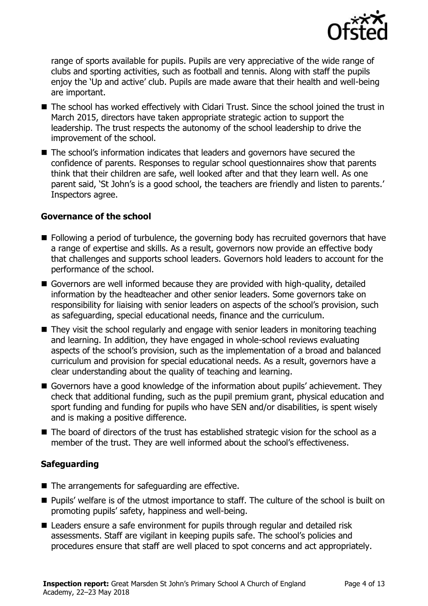

range of sports available for pupils. Pupils are very appreciative of the wide range of clubs and sporting activities, such as football and tennis. Along with staff the pupils enjoy the 'Up and active' club. Pupils are made aware that their health and well-being are important.

- The school has worked effectively with Cidari Trust. Since the school joined the trust in March 2015, directors have taken appropriate strategic action to support the leadership. The trust respects the autonomy of the school leadership to drive the improvement of the school.
- The school's information indicates that leaders and governors have secured the confidence of parents. Responses to regular school questionnaires show that parents think that their children are safe, well looked after and that they learn well. As one parent said, 'St John's is a good school, the teachers are friendly and listen to parents.' Inspectors agree.

### **Governance of the school**

- Following a period of turbulence, the governing body has recruited governors that have a range of expertise and skills. As a result, governors now provide an effective body that challenges and supports school leaders. Governors hold leaders to account for the performance of the school.
- Governors are well informed because they are provided with high-quality, detailed information by the headteacher and other senior leaders. Some governors take on responsibility for liaising with senior leaders on aspects of the school's provision, such as safeguarding, special educational needs, finance and the curriculum.
- They visit the school regularly and engage with senior leaders in monitoring teaching and learning. In addition, they have engaged in whole-school reviews evaluating aspects of the school's provision, such as the implementation of a broad and balanced curriculum and provision for special educational needs. As a result, governors have a clear understanding about the quality of teaching and learning.
- Governors have a good knowledge of the information about pupils' achievement. They check that additional funding, such as the pupil premium grant, physical education and sport funding and funding for pupils who have SEN and/or disabilities, is spent wisely and is making a positive difference.
- $\blacksquare$  The board of directors of the trust has established strategic vision for the school as a member of the trust. They are well informed about the school's effectiveness.

### **Safeguarding**

- The arrangements for safeguarding are effective.
- **Pupils' welfare is of the utmost importance to staff. The culture of the school is built on** promoting pupils' safety, happiness and well-being.
- Leaders ensure a safe environment for pupils through regular and detailed risk assessments. Staff are vigilant in keeping pupils safe. The school's policies and procedures ensure that staff are well placed to spot concerns and act appropriately.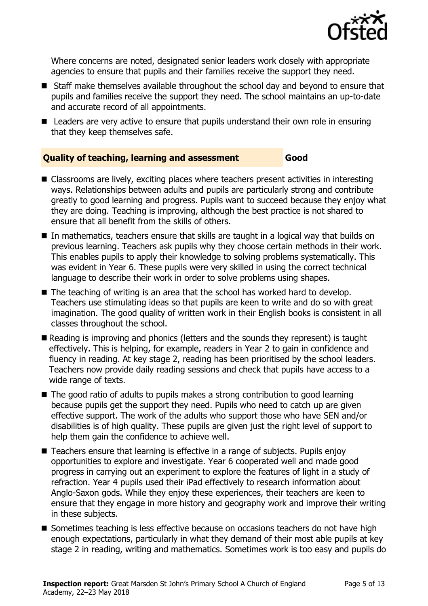

Where concerns are noted, designated senior leaders work closely with appropriate agencies to ensure that pupils and their families receive the support they need.

- Staff make themselves available throughout the school day and beyond to ensure that pupils and families receive the support they need. The school maintains an up-to-date and accurate record of all appointments.
- Leaders are very active to ensure that pupils understand their own role in ensuring that they keep themselves safe.

## **Quality of teaching, learning and assessment Good**

- Classrooms are lively, exciting places where teachers present activities in interesting ways. Relationships between adults and pupils are particularly strong and contribute greatly to good learning and progress. Pupils want to succeed because they enjoy what they are doing. Teaching is improving, although the best practice is not shared to ensure that all benefit from the skills of others.
- $\blacksquare$  In mathematics, teachers ensure that skills are taught in a logical way that builds on previous learning. Teachers ask pupils why they choose certain methods in their work. This enables pupils to apply their knowledge to solving problems systematically. This was evident in Year 6. These pupils were very skilled in using the correct technical language to describe their work in order to solve problems using shapes.
- The teaching of writing is an area that the school has worked hard to develop. Teachers use stimulating ideas so that pupils are keen to write and do so with great imagination. The good quality of written work in their English books is consistent in all classes throughout the school.
- Reading is improving and phonics (letters and the sounds they represent) is taught effectively. This is helping, for example, readers in Year 2 to gain in confidence and fluency in reading. At key stage 2, reading has been prioritised by the school leaders. Teachers now provide daily reading sessions and check that pupils have access to a wide range of texts.
- The good ratio of adults to pupils makes a strong contribution to good learning because pupils get the support they need. Pupils who need to catch up are given effective support. The work of the adults who support those who have SEN and/or disabilities is of high quality. These pupils are given just the right level of support to help them gain the confidence to achieve well.
- Teachers ensure that learning is effective in a range of subjects. Pupils enjoy opportunities to explore and investigate. Year 6 cooperated well and made good progress in carrying out an experiment to explore the features of light in a study of refraction. Year 4 pupils used their iPad effectively to research information about Anglo-Saxon gods. While they enjoy these experiences, their teachers are keen to ensure that they engage in more history and geography work and improve their writing in these subjects.
- Sometimes teaching is less effective because on occasions teachers do not have high enough expectations, particularly in what they demand of their most able pupils at key stage 2 in reading, writing and mathematics. Sometimes work is too easy and pupils do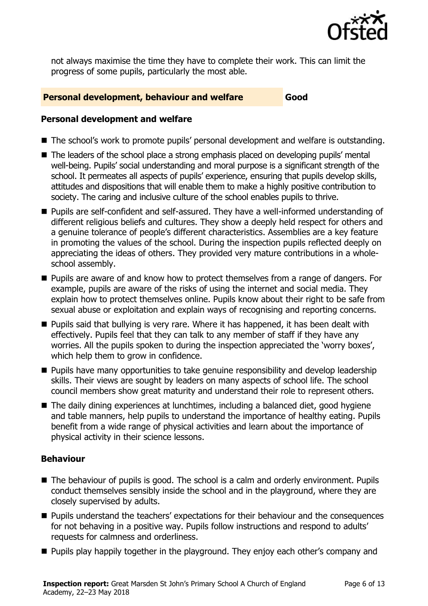

not always maximise the time they have to complete their work. This can limit the progress of some pupils, particularly the most able.

#### **Personal development, behaviour and welfare Good**

#### **Personal development and welfare**

- The school's work to promote pupils' personal development and welfare is outstanding.
- The leaders of the school place a strong emphasis placed on developing pupils' mental well-being. Pupils' social understanding and moral purpose is a significant strength of the school. It permeates all aspects of pupils' experience, ensuring that pupils develop skills, attitudes and dispositions that will enable them to make a highly positive contribution to society. The caring and inclusive culture of the school enables pupils to thrive.
- Pupils are self-confident and self-assured. They have a well-informed understanding of different religious beliefs and cultures. They show a deeply held respect for others and a genuine tolerance of people's different characteristics. Assemblies are a key feature in promoting the values of the school. During the inspection pupils reflected deeply on appreciating the ideas of others. They provided very mature contributions in a wholeschool assembly.
- **Pupils are aware of and know how to protect themselves from a range of dangers. For** example, pupils are aware of the risks of using the internet and social media. They explain how to protect themselves online. Pupils know about their right to be safe from sexual abuse or exploitation and explain ways of recognising and reporting concerns.
- **Pupils said that bullying is very rare. Where it has happened, it has been dealt with** effectively. Pupils feel that they can talk to any member of staff if they have any worries. All the pupils spoken to during the inspection appreciated the 'worry boxes', which help them to grow in confidence.
- **Pupils have many opportunities to take genuine responsibility and develop leadership** skills. Their views are sought by leaders on many aspects of school life. The school council members show great maturity and understand their role to represent others.
- The daily dining experiences at lunchtimes, including a balanced diet, good hygiene and table manners, help pupils to understand the importance of healthy eating. Pupils benefit from a wide range of physical activities and learn about the importance of physical activity in their science lessons.

### **Behaviour**

- The behaviour of pupils is good. The school is a calm and orderly environment. Pupils conduct themselves sensibly inside the school and in the playground, where they are closely supervised by adults.
- **Pupils understand the teachers' expectations for their behaviour and the consequences** for not behaving in a positive way. Pupils follow instructions and respond to adults' requests for calmness and orderliness.
- **Pupils play happily together in the playground. They enjoy each other's company and**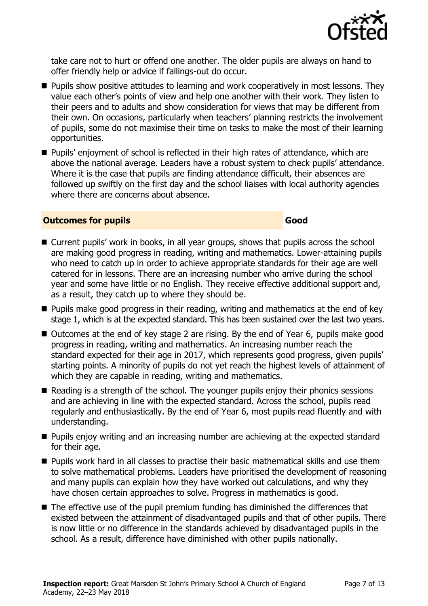

take care not to hurt or offend one another. The older pupils are always on hand to offer friendly help or advice if fallings-out do occur.

- **Pupils show positive attitudes to learning and work cooperatively in most lessons. They** value each other's points of view and help one another with their work. They listen to their peers and to adults and show consideration for views that may be different from their own. On occasions, particularly when teachers' planning restricts the involvement of pupils, some do not maximise their time on tasks to make the most of their learning opportunities.
- **Pupils'** enjoyment of school is reflected in their high rates of attendance, which are above the national average. Leaders have a robust system to check pupils' attendance. Where it is the case that pupils are finding attendance difficult, their absences are followed up swiftly on the first day and the school liaises with local authority agencies where there are concerns about absence.

#### **Outcomes for pupils Good**

#### ■ Current pupils' work in books, in all year groups, shows that pupils across the school are making good progress in reading, writing and mathematics. Lower-attaining pupils who need to catch up in order to achieve appropriate standards for their age are well catered for in lessons. There are an increasing number who arrive during the school year and some have little or no English. They receive effective additional support and, as a result, they catch up to where they should be.

- **Pupils make good progress in their reading, writing and mathematics at the end of key** stage 1, which is at the expected standard. This has been sustained over the last two years.
- Outcomes at the end of key stage 2 are rising. By the end of Year 6, pupils make good progress in reading, writing and mathematics. An increasing number reach the standard expected for their age in 2017, which represents good progress, given pupils' starting points. A minority of pupils do not yet reach the highest levels of attainment of which they are capable in reading, writing and mathematics.
- $\blacksquare$  Reading is a strength of the school. The younger pupils enjoy their phonics sessions and are achieving in line with the expected standard. Across the school, pupils read regularly and enthusiastically. By the end of Year 6, most pupils read fluently and with understanding.
- **Pupils enjoy writing and an increasing number are achieving at the expected standard** for their age.
- **Pupils work hard in all classes to practise their basic mathematical skills and use them** to solve mathematical problems. Leaders have prioritised the development of reasoning and many pupils can explain how they have worked out calculations, and why they have chosen certain approaches to solve. Progress in mathematics is good.
- The effective use of the pupil premium funding has diminished the differences that existed between the attainment of disadvantaged pupils and that of other pupils. There is now little or no difference in the standards achieved by disadvantaged pupils in the school. As a result, difference have diminished with other pupils nationally.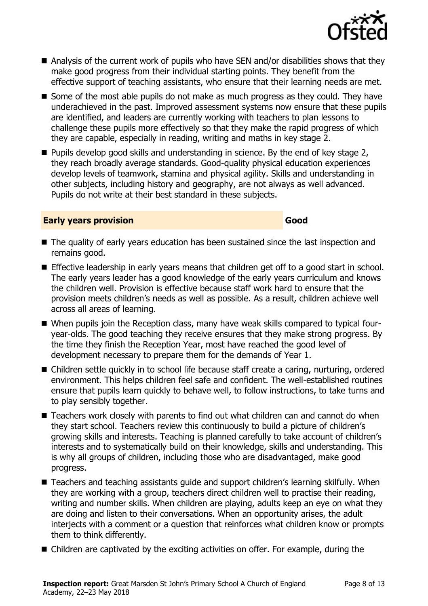**Inspection report:** Great Marsden St John's Primary School A Church of England Academy, 22–23 May 2018

- Analysis of the current work of pupils who have SEN and/or disabilities shows that they make good progress from their individual starting points. They benefit from the effective support of teaching assistants, who ensure that their learning needs are met.
- Some of the most able pupils do not make as much progress as they could. They have underachieved in the past. Improved assessment systems now ensure that these pupils are identified, and leaders are currently working with teachers to plan lessons to challenge these pupils more effectively so that they make the rapid progress of which they are capable, especially in reading, writing and maths in key stage 2.
- Pupils develop good skills and understanding in science. By the end of key stage 2, they reach broadly average standards. Good-quality physical education experiences develop levels of teamwork, stamina and physical agility. Skills and understanding in other subjects, including history and geography, are not always as well advanced. Pupils do not write at their best standard in these subjects.

#### **Early years provision Good Good**

- The quality of early years education has been sustained since the last inspection and remains good.
- Effective leadership in early years means that children get off to a good start in school. The early years leader has a good knowledge of the early years curriculum and knows the children well. Provision is effective because staff work hard to ensure that the provision meets children's needs as well as possible. As a result, children achieve well across all areas of learning.
- When pupils join the Reception class, many have weak skills compared to typical fouryear-olds. The good teaching they receive ensures that they make strong progress. By the time they finish the Reception Year, most have reached the good level of development necessary to prepare them for the demands of Year 1.
- Children settle quickly in to school life because staff create a caring, nurturing, ordered environment. This helps children feel safe and confident. The well-established routines ensure that pupils learn quickly to behave well, to follow instructions, to take turns and to play sensibly together.
- Teachers work closely with parents to find out what children can and cannot do when they start school. Teachers review this continuously to build a picture of children's growing skills and interests. Teaching is planned carefully to take account of children's interests and to systematically build on their knowledge, skills and understanding. This is why all groups of children, including those who are disadvantaged, make good progress.
- Teachers and teaching assistants guide and support children's learning skilfully. When they are working with a group, teachers direct children well to practise their reading, writing and number skills. When children are playing, adults keep an eye on what they are doing and listen to their conversations. When an opportunity arises, the adult interjects with a comment or a question that reinforces what children know or prompts them to think differently.
- Children are captivated by the exciting activities on offer. For example, during the

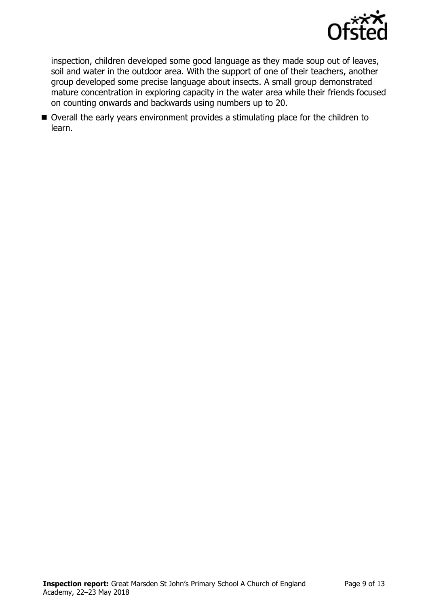

inspection, children developed some good language as they made soup out of leaves, soil and water in the outdoor area. With the support of one of their teachers, another group developed some precise language about insects. A small group demonstrated mature concentration in exploring capacity in the water area while their friends focused on counting onwards and backwards using numbers up to 20.

■ Overall the early years environment provides a stimulating place for the children to learn.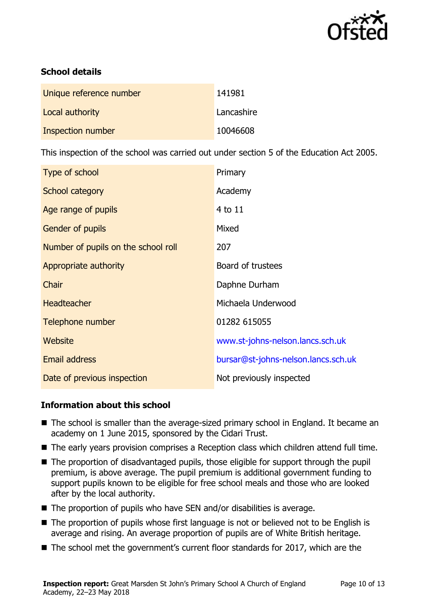

## **School details**

| Unique reference number | 141981     |
|-------------------------|------------|
| Local authority         | Lancashire |
| Inspection number       | 10046608   |

This inspection of the school was carried out under section 5 of the Education Act 2005.

| Type of school                      | Primary                             |
|-------------------------------------|-------------------------------------|
| School category                     | Academy                             |
| Age range of pupils                 | 4 to 11                             |
| <b>Gender of pupils</b>             | Mixed                               |
| Number of pupils on the school roll | 207                                 |
| Appropriate authority               | Board of trustees                   |
| Chair                               | Daphne Durham                       |
| <b>Headteacher</b>                  | Michaela Underwood                  |
| Telephone number                    | 01282 615055                        |
| Website                             | www.st-johns-nelson.lancs.sch.uk    |
| Email address                       | bursar@st-johns-nelson.lancs.sch.uk |
| Date of previous inspection         | Not previously inspected            |

### **Information about this school**

- The school is smaller than the average-sized primary school in England. It became an academy on 1 June 2015, sponsored by the Cidari Trust.
- The early years provision comprises a Reception class which children attend full time.
- The proportion of disadvantaged pupils, those eligible for support through the pupil premium, is above average. The pupil premium is additional government funding to support pupils known to be eligible for free school meals and those who are looked after by the local authority.
- $\blacksquare$  The proportion of pupils who have SEN and/or disabilities is average.
- The proportion of pupils whose first language is not or believed not to be English is average and rising. An average proportion of pupils are of White British heritage.
- The school met the government's current floor standards for 2017, which are the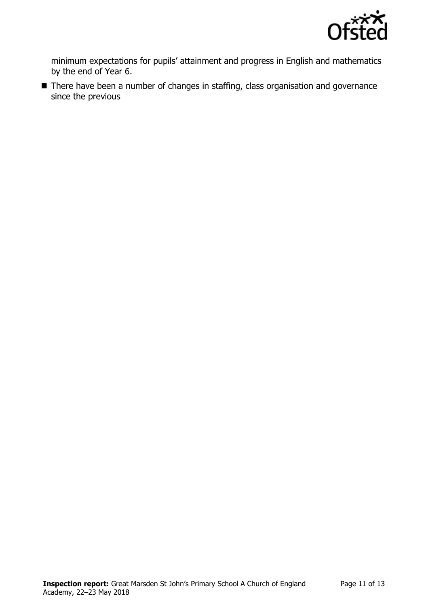

minimum expectations for pupils' attainment and progress in English and mathematics by the end of Year 6.

■ There have been a number of changes in staffing, class organisation and governance since the previous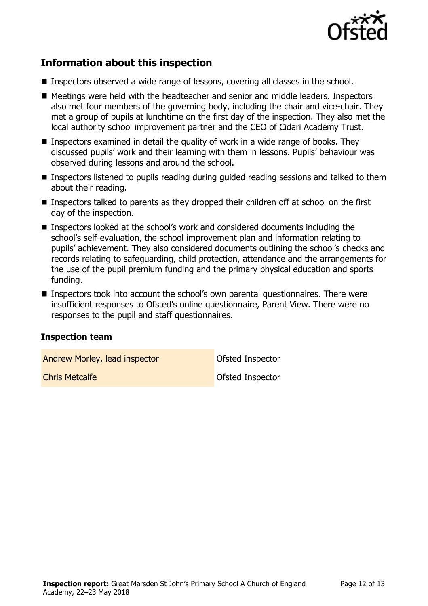

# **Information about this inspection**

- Inspectors observed a wide range of lessons, covering all classes in the school.
- Meetings were held with the headteacher and senior and middle leaders. Inspectors also met four members of the governing body, including the chair and vice-chair. They met a group of pupils at lunchtime on the first day of the inspection. They also met the local authority school improvement partner and the CEO of Cidari Academy Trust.
- **Inspectors examined in detail the quality of work in a wide range of books. They** discussed pupils' work and their learning with them in lessons. Pupils' behaviour was observed during lessons and around the school.
- Inspectors listened to pupils reading during guided reading sessions and talked to them about their reading.
- Inspectors talked to parents as they dropped their children off at school on the first day of the inspection.
- Inspectors looked at the school's work and considered documents including the school's self-evaluation, the school improvement plan and information relating to pupils' achievement. They also considered documents outlining the school's checks and records relating to safeguarding, child protection, attendance and the arrangements for the use of the pupil premium funding and the primary physical education and sports funding.
- Inspectors took into account the school's own parental questionnaires. There were insufficient responses to Ofsted's online questionnaire, Parent View. There were no responses to the pupil and staff questionnaires.

#### **Inspection team**

Andrew Morley, lead inspector **Constanting Constanting Andrew Morley, lead inspector** 

**Chris Metcalfe Chris Metcalfe Ofsted Inspector**